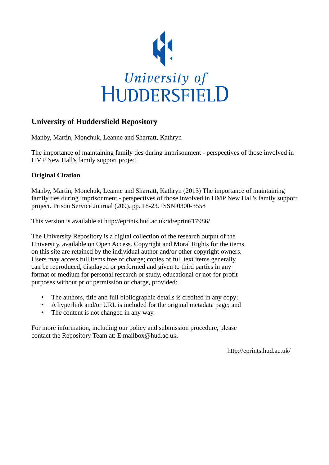

## **University of Huddersfield Repository**

Manby, Martin, Monchuk, Leanne and Sharratt, Kathryn

The importance of maintaining family ties during imprisonment - perspectives of those involved in HMP New Hall's family support project

### **Original Citation**

Manby, Martin, Monchuk, Leanne and Sharratt, Kathryn (2013) The importance of maintaining family ties during imprisonment - perspectives of those involved in HMP New Hall's family support project. Prison Service Journal (209). pp. 18-23. ISSN 0300-3558

This version is available at http://eprints.hud.ac.uk/id/eprint/17986/

The University Repository is a digital collection of the research output of the University, available on Open Access. Copyright and Moral Rights for the items on this site are retained by the individual author and/or other copyright owners. Users may access full items free of charge; copies of full text items generally can be reproduced, displayed or performed and given to third parties in any format or medium for personal research or study, educational or not-for-profit purposes without prior permission or charge, provided:

- The authors, title and full bibliographic details is credited in any copy;
- A hyperlink and/or URL is included for the original metadata page; and
- The content is not changed in any way.

For more information, including our policy and submission procedure, please contact the Repository Team at: E.mailbox@hud.ac.uk.

http://eprints.hud.ac.uk/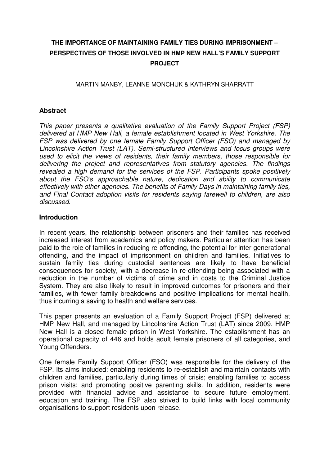# **THE IMPORTANCE OF MAINTAINING FAMILY TIES DURING IMPRISONMENT – PERSPECTIVES OF THOSE INVOLVED IN HMP NEW HALL'S FAMILY SUPPORT PROJECT**

MARTIN MANBY, LEANNE MONCHUK & KATHRYN SHARRATT

## **Abstract**

This paper presents a qualitative evaluation of the Family Support Project (FSP) delivered at HMP New Hall, a female establishment located in West Yorkshire. The FSP was delivered by one female Family Support Officer (FSO) and managed by Lincolnshire Action Trust (LAT). Semi-structured interviews and focus groups were used to elicit the views of residents, their family members, those responsible for delivering the project and representatives from statutory agencies. The findings revealed a high demand for the services of the FSP. Participants spoke positively about the FSO's approachable nature, dedication and ability to communicate effectively with other agencies. The benefits of Family Days in maintaining family ties, and Final Contact adoption visits for residents saying farewell to children, are also discussed.

#### **Introduction**

In recent years, the relationship between prisoners and their families has received increased interest from academics and policy makers. Particular attention has been paid to the role of families in reducing re-offending, the potential for inter-generational offending, and the impact of imprisonment on children and families. Initiatives to sustain family ties during custodial sentences are likely to have beneficial consequences for society, with a decrease in re-offending being associated with a reduction in the number of victims of crime and in costs to the Criminal Justice System. They are also likely to result in improved outcomes for prisoners and their families, with fewer family breakdowns and positive implications for mental health, thus incurring a saving to health and welfare services.

This paper presents an evaluation of a Family Support Project (FSP) delivered at HMP New Hall, and managed by Lincolnshire Action Trust (LAT) since 2009. HMP New Hall is a closed female prison in West Yorkshire. The establishment has an operational capacity of 446 and holds adult female prisoners of all categories, and Young Offenders.

One female Family Support Officer (FSO) was responsible for the delivery of the FSP. Its aims included: enabling residents to re-establish and maintain contacts with children and families, particularly during times of crisis; enabling families to access prison visits; and promoting positive parenting skills. In addition, residents were provided with financial advice and assistance to secure future employment, education and training. The FSP also strived to build links with local community organisations to support residents upon release.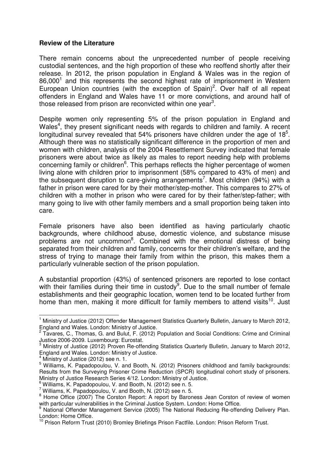#### **Review of the Literature**

There remain concerns about the unprecedented number of people receiving custodial sentences, and the high proportion of these who reoffend shortly after their release. In 2012, the prison population in England & Wales was in the region of  $86,000<sup>1</sup>$  and this represents the second highest rate of imprisonment in Western European Union countries (with the exception of Spain)<sup>2</sup>. Over half of all repeat offenders in England and Wales have 11 or more convictions, and around half of those released from prison are reconvicted within one year<sup>3</sup>.

Despite women only representing 5% of the prison population in England and Wales<sup>4</sup>, they present significant needs with regards to children and family. A recent longitudinal survey revealed that 54% prisoners have children under the age of  $18<sup>5</sup>$ . Although there was no statistically significant difference in the proportion of men and women with children, analysis of the 2004 Resettlement Survey indicated that female prisoners were about twice as likely as males to report needing help with problems concerning family or children $6$ . This perhaps reflects the higher percentage of women living alone with children prior to imprisonment (58% compared to 43% of men) and the subsequent disruption to care-giving arrangements<sup>7</sup>. Most children (94%) with a father in prison were cared for by their mother/step-mother. This compares to 27% of children with a mother in prison who were cared for by their father/step-father; with many going to live with other family members and a small proportion being taken into care.

Female prisoners have also been identified as having particularly chaotic backgrounds, where childhood abuse, domestic violence, and substance misuse problems are not uncommon<sup>8</sup>. Combined with the emotional distress of being separated from their children and family, concerns for their children's welfare, and the stress of trying to manage their family from within the prison, this makes them a particularly vulnerable section of the prison population.

A substantial proportion (43%) of sentenced prisoners are reported to lose contact with their families during their time in custody<sup>9</sup>. Due to the small number of female establishments and their geographic location, women tend to be located further from home than men, making it more difficult for family members to attend visits<sup>10</sup>. Just

 $\overline{a}$ <sup>1</sup> Ministry of Justice (2012) Offender Management Statistics Quarterly Bulletin, January to March 2012, England and Wales. London: Ministry of Justice.

<sup>&</sup>lt;sup>2</sup> Tavares, C., Thomas, G. and Bulut, F. (2012) Population and Social Conditions: Crime and Criminal Justice 2006-2009. Luxembourg: Eurostat. 3

Ministry of Justice (2012) Proven Re-offending Statistics Quarterly Bulletin, January to March 2012, England and Wales. London: Ministry of Justice.

<sup>4</sup> Ministry of Justice (2012) see n. 1.

<sup>&</sup>lt;sup>5</sup> Williams, K. Papadopoulou, V. and Booth, N. (2012) Prisoners childhood and family backgrounds: Results from the Surveying Prisoner Crime Reduction (SPCR) longitudinal cohort study of prisoners. Ministry of Justice Research Series 4/12. London: Ministry of Justice.

 $6$  Williams, K. Papadopoulou, V. and Booth, N. (2012) see n. 5.

Williams, K. Papadopoulou, V. and Booth, N. (2012) see n. 5.

<sup>&</sup>lt;sup>8</sup> Home Office (2007) The Corston Report: A report by Baroness Jean Corston of review of women with particular vulnerabilities in the Criminal Justice System. London: Home Office.

<sup>&</sup>lt;sup>9</sup> National Offender Management Service (2005) The National Reducing Re-offending Delivery Plan. London: Home Office.

<sup>&</sup>lt;sup>10</sup> Prison Reform Trust (2010) Bromley Briefings Prison Factfile. London: Prison Reform Trust.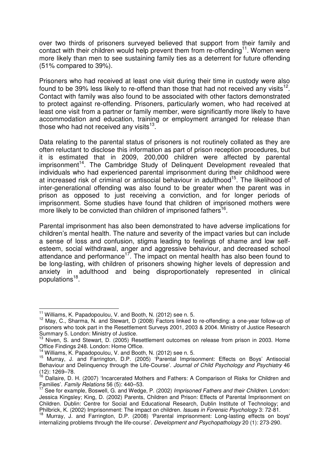over two thirds of prisoners surveyed believed that support from their family and contact with their children would help prevent them from re-offending<sup>11</sup>. Women were more likely than men to see sustaining family ties as a deterrent for future offending (51% compared to 39%).

Prisoners who had received at least one visit during their time in custody were also found to be 39% less likely to re-offend than those that had not received any visits<sup>12</sup>. Contact with family was also found to be associated with other factors demonstrated to protect against re-offending. Prisoners, particularly women, who had received at least one visit from a partner or family member, were significantly more likely to have accommodation and education, training or employment arranged for release than those who had not received any visits $^{13}$ .

Data relating to the parental status of prisoners is not routinely collated as they are often reluctant to disclose this information as part of prison reception procedures, but it is estimated that in 2009, 200,000 children were affected by parental imprisonment<sup>14</sup>. The Cambridge Study of Delinquent Development revealed that individuals who had experienced parental imprisonment during their childhood were at increased risk of criminal or antisocial behaviour in adulthood<sup>15</sup>. The likelihood of inter-generational offending was also found to be greater when the parent was in prison as opposed to just receiving a conviction, and for longer periods of imprisonment. Some studies have found that children of imprisoned mothers were more likely to be convicted than children of imprisoned fathers<sup>16</sup>.

Parental imprisonment has also been demonstrated to have adverse implications for children's mental health. The nature and severity of the impact varies but can include a sense of loss and confusion, stigma leading to feelings of shame and low selfesteem, social withdrawal, anger and aggressive behaviour, and decreased school attendance and performance<sup>17</sup>. The impact on mental health has also been found to be long-lasting, with children of prisoners showing higher levels of depression and anxiety in adulthood and being disproportionately represented in clinical populations<sup>18</sup>.

 $\overline{\phantom{a}}$ 

 $11$ <sup>11</sup> Williams, K. Papadopoulou, V. and Booth, N. (2012) see n. 5.

<sup>&</sup>lt;sup>12</sup> May, C., Sharma, N. and Stewart, D (2008) Factors linked to re-offending: a one-year follow-up of prisoners who took part in the Resettlement Surveys 2001, 2003 & 2004. Ministry of Justice Research Summary 5. London: Ministry of Justice.

<sup>&</sup>lt;sup>13</sup> Niven, S. and Stewart, D. (2005) Resettlement outcomes on release from prison in 2003. Home Office Findings 248. London: Home Office.

<sup>&</sup>lt;sup>14</sup> Williams, K. Papadopoulou, V. and Booth, N. (2012) see n. 5.

<sup>&</sup>lt;sup>15</sup> Murray, J. and Farrington, D.P. (2005) 'Parental Imprisonment: Effects on Boys' Antisocial Behaviour and Delinquency through the Life-Course'. Journal of Child Psychology and Psychiatry 46  $(12)$ : 1269–78.

Dallaire. D. H. (2007) 'Incarcerated Mothers and Fathers: A Comparison of Risks for Children and Families'. Family Relations 56 (5): 440–53.

 $17$  See for example, Boswell, G. and Wedge, P. (2002) Imprisoned Fathers and their Children. London: Jessica Kingsley; King, D. (2002) Parents, Children and Prison: Effects of Parental Imprisonment on Children. Dublin: Centre for Social and Educational Research, Dublin Institute of Technology; and Philbrick, K. (2002) Imprisonment: The impact on children. Issues in Forensic Psychology 3: 72-81.

<sup>18</sup> Murray, J. and Farrington, D.P. (2008) 'Parental imprisonment: Long-lasting effects on boys' internalizing problems through the life-course'. Development and Psychopathology 20 (1): 273-290.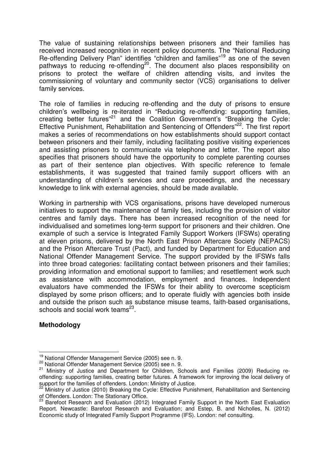The value of sustaining relationships between prisoners and their families has received increased recognition in recent policy documents. The "National Reducing Re-offending Delivery Plan" identifies "children and families"<sup>19</sup> as one of the seven pathways to reducing re-offending<sup>20</sup>. The document also places responsibility on prisons to protect the welfare of children attending visits, and invites the commissioning of voluntary and community sector (VCS) organisations to deliver family services.

The role of families in reducing re-offending and the duty of prisons to ensure children's wellbeing is re-iterated in "Reducing re-offending: supporting families, creating better futures"<sup>21</sup> and the Coalition Government's "Breaking the Cycle: Effective Punishment, Rehabilitation and Sentencing of Offenders<sup>"22</sup>. The first report makes a series of recommendations on how establishments should support contact between prisoners and their family, including facilitating positive visiting experiences and assisting prisoners to communicate via telephone and letter. The report also specifies that prisoners should have the opportunity to complete parenting courses as part of their sentence plan objectives. With specific reference to female establishments, it was suggested that trained family support officers with an understanding of children's services and care proceedings, and the necessary knowledge to link with external agencies, should be made available.

Working in partnership with VCS organisations, prisons have developed numerous initiatives to support the maintenance of family ties, including the provision of visitor centres and family days. There has been increased recognition of the need for individualised and sometimes long-term support for prisoners and their children. One example of such a service is Integrated Family Support Workers (IFSWs) operating at eleven prisons, delivered by the North East Prison Aftercare Society (NEPACS) and the Prison Aftercare Trust (Pact), and funded by Department for Education and National Offender Management Service. The support provided by the IFSWs falls into three broad categories: facilitating contact between prisoners and their families; providing information and emotional support to families; and resettlement work such as assistance with accommodation, employment and finances. Independent evaluators have commended the IFSWs for their ability to overcome scepticism displayed by some prison officers; and to operate fluidly with agencies both inside and outside the prison such as substance misuse teams, faith-based organisations, schools and social work teams<sup>23</sup>.

#### **Methodology**

 $\overline{a}$ <sup>19</sup> National Offender Management Service (2005) see n. 9.

<sup>20</sup> National Offender Management Service (2005) see n. 9.

<sup>&</sup>lt;sup>21</sup> Ministry of Justice and Department for Children, Schools and Families (2009) Reducing reoffending: supporting families, creating better futures. A framework for improving the local delivery of support for the families of offenders. London: Ministry of Justice.

<sup>&</sup>lt;sup>22</sup> Ministry of Justice (2010) Breaking the Cycle: Effective Punishment, Rehabilitation and Sentencing of Offenders. London: The Stationary Office.

<sup>&</sup>lt;sup>23</sup> Barefoot Research and Evaluation (2012) Integrated Family Support in the North East Evaluation Report. Newcastle: Barefoot Research and Evaluation; and Estep, B. and Nicholles, N. (2012) Economic study of Integrated Family Support Programme (IFS). London: nef consulting.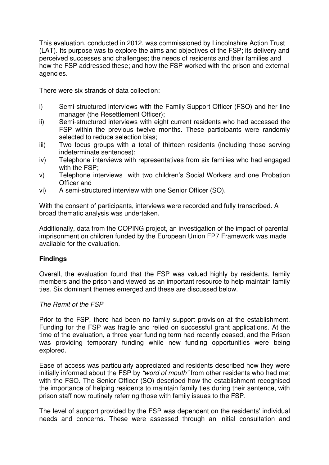This evaluation, conducted in 2012, was commissioned by Lincolnshire Action Trust (LAT). Its purpose was to explore the aims and objectives of the FSP; its delivery and perceived successes and challenges; the needs of residents and their families and how the FSP addressed these; and how the FSP worked with the prison and external agencies.

There were six strands of data collection:

- i) Semi-structured interviews with the Family Support Officer (FSO) and her line manager (the Resettlement Officer);
- ii) Semi-structured interviews with eight current residents who had accessed the FSP within the previous twelve months. These participants were randomly selected to reduce selection bias;
- iii) Two focus groups with a total of thirteen residents (including those serving indeterminate sentences);
- iv) Telephone interviews with representatives from six families who had engaged with the FSP;
- v) Telephone interviews with two children's Social Workers and one Probation Officer and
- vi) A semi-structured interview with one Senior Officer (SO).

With the consent of participants, interviews were recorded and fully transcribed. A broad thematic analysis was undertaken.

Additionally, data from the COPING project, an investigation of the impact of parental imprisonment on children funded by the European Union FP7 Framework was made available for the evaluation.

## **Findings**

Overall, the evaluation found that the FSP was valued highly by residents, family members and the prison and viewed as an important resource to help maintain family ties. Six dominant themes emerged and these are discussed below.

#### The Remit of the FSP

Prior to the FSP, there had been no family support provision at the establishment. Funding for the FSP was fragile and relied on successful grant applications. At the time of the evaluation, a three year funding term had recently ceased, and the Prison was providing temporary funding while new funding opportunities were being explored.

Ease of access was particularly appreciated and residents described how they were initially informed about the FSP by "word of mouth" from other residents who had met with the FSO. The Senior Officer (SO) described how the establishment recognised the importance of helping residents to maintain family ties during their sentence, with prison staff now routinely referring those with family issues to the FSP.

The level of support provided by the FSP was dependent on the residents' individual needs and concerns. These were assessed through an initial consultation and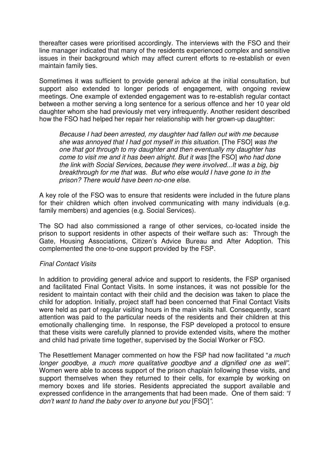thereafter cases were prioritised accordingly. The interviews with the FSO and their line manager indicated that many of the residents experienced complex and sensitive issues in their background which may affect current efforts to re-establish or even maintain family ties.

Sometimes it was sufficient to provide general advice at the initial consultation, but support also extended to longer periods of engagement, with ongoing review meetings. One example of extended engagement was to re-establish regular contact between a mother serving a long sentence for a serious offence and her 10 year old daughter whom she had previously met very infrequently. Another resident described how the FSO had helped her repair her relationship with her grown-up daughter:

Because I had been arrested, my daughter had fallen out with me because she was annoyed that I had got myself in this situation. [The FSO] was the one that got through to my daughter and then eventually my daughter has come to visit me and it has been alright. But it was [the FSO] who had done the link with Social Services, because they were involved...It was a big, big breakthrough for me that was. But who else would I have gone to in the prison? There would have been no-one else.

A key role of the FSO was to ensure that residents were included in the future plans for their children which often involved communicating with many individuals (e.g. family members) and agencies (e.g. Social Services).

The SO had also commissioned a range of other services, co-located inside the prison to support residents in other aspects of their welfare such as: Through the Gate, Housing Associations, Citizen's Advice Bureau and After Adoption. This complemented the one-to-one support provided by the FSP.

## Final Contact Visits

In addition to providing general advice and support to residents, the FSP organised and facilitated Final Contact Visits. In some instances, it was not possible for the resident to maintain contact with their child and the decision was taken to place the child for adoption. Initially, project staff had been concerned that Final Contact Visits were held as part of regular visiting hours in the main visits hall. Consequently, scant attention was paid to the particular needs of the residents and their children at this emotionally challenging time. In response, the FSP developed a protocol to ensure that these visits were carefully planned to provide extended visits, where the mother and child had private time together, supervised by the Social Worker or FSO.

The Resettlement Manager commented on how the FSP had now facilitated "a much longer goodbye, a much more qualitative goodbye and a dignified one as well". Women were able to access support of the prison chaplain following these visits, and support themselves when they returned to their cells, for example by working on memory boxes and life stories. Residents appreciated the support available and expressed confidence in the arrangements that had been made. One of them said: "I don't want to hand the baby over to anyone but you [FSO]".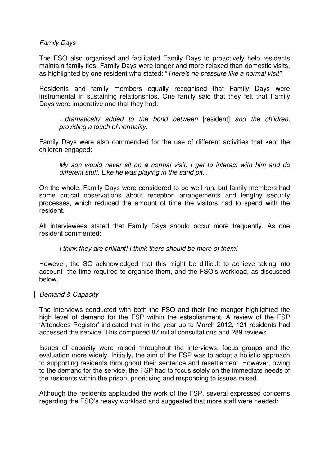#### Family Days

The FSO also organised and facilitated Family Days to proactively help residents maintain family ties. Family Days were longer and more relaxed than domestic visits, as highlighted by one resident who stated: "There's no pressure like a normal visit".

Residents and family members equally recognised that Family Days were instrumental in sustaining relationships. One family said that they felt that Family Days were imperative and that they had:

...dramatically added to the bond between [resident] and the children, providing a touch of normality.

Family Days were also commended for the use of different activities that kept the children engaged:

My son would never sit on a normal visit. I get to interact with him and do different stuff. Like he was playing in the sand pit...

On the whole, Family Days were considered to be well run, but family members had some critical observations about reception arrangements and lengthy security processes, which reduced the amount of time the visitors had to spend with the resident.

All interviewees stated that Family Days should occur more frequently. As one resident commented:

I think they are brilliant! I think there should be more of them!

However, the SO acknowledged that this might be difficult to achieve taking into account the time required to organise them, and the FSO's workload, as discussed below.

#### Demand & Capacity

The interviews conducted with both the FSO and their line manger highlighted the high level of demand for the FSP within the establishment. A review of the FSP 'Attendees Register' indicated that in the year up to March 2012, 121 residents had accessed the service. This comprised 87 initial consultations and 289 reviews.

Issues of capacity were raised throughout the interviews, focus groups and the evaluation more widely. Initially, the aim of the FSP was to adopt a holistic approach to supporting residents throughout their sentence and resettlement. However, owing to the demand for the service, the FSP had to focus solely on the immediate needs of the residents within the prison, prioritising and responding to issues raised.

Although the residents applauded the work of the FSP, several expressed concerns regarding the FSO's heavy workload and suggested that more staff were needed: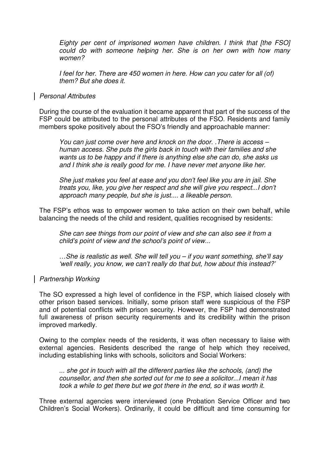Eighty per cent of imprisoned women have children. I think that [the FSO] could do with someone helping her. She is on her own with how many women?

I feel for her. There are 450 women in here. How can you cater for all (of) them? But she does it.

#### Personal Attributes

During the course of the evaluation it became apparent that part of the success of the FSP could be attributed to the personal attributes of the FSO. Residents and family members spoke positively about the FSO's friendly and approachable manner:

You can just come over here and knock on the door. .There is access – human access. She puts the girls back in touch with their families and she wants us to be happy and if there is anything else she can do, she asks us and I think she is really good for me. I have never met anyone like her.

She just makes you feel at ease and you don't feel like you are in jail. She treats you, like, you give her respect and she will give you respect...I don't approach many people, but she is just.... a likeable person.

The FSP's ethos was to empower women to take action on their own behalf, while balancing the needs of the child and resident, qualities recognised by residents:

She can see things from our point of view and she can also see it from a child's point of view and the school's point of view...

…She is realistic as well. She will tell you – if you want something, she'll say 'well really, you know, we can't really do that but, how about this instead?'

#### Partnership Working

The SO expressed a high level of confidence in the FSP, which liaised closely with other prison based services. Initially, some prison staff were suspicious of the FSP and of potential conflicts with prison security. However, the FSP had demonstrated full awareness of prison security requirements and its credibility within the prison improved markedly.

Owing to the complex needs of the residents, it was often necessary to liaise with external agencies. Residents described the range of help which they received, including establishing links with schools, solicitors and Social Workers:

... she got in touch with all the different parties like the schools, (and) the counsellor, and then she sorted out for me to see a solicitor...I mean it has took a while to get there but we got there in the end, so it was worth it.

Three external agencies were interviewed (one Probation Service Officer and two Children's Social Workers). Ordinarily, it could be difficult and time consuming for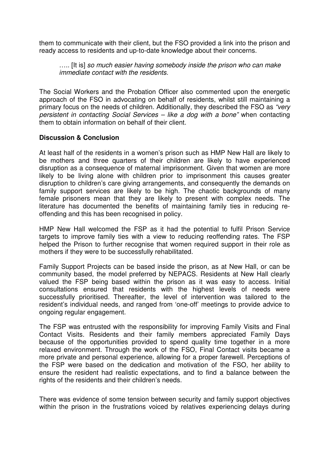them to communicate with their client, but the FSO provided a link into the prison and ready access to residents and up-to-date knowledge about their concerns.

..... [It is] so much easier having somebody inside the prison who can make immediate contact with the residents.

The Social Workers and the Probation Officer also commented upon the energetic approach of the FSO in advocating on behalf of residents, whilst still maintaining a primary focus on the needs of children. Additionally, they described the FSO as "very persistent in contacting Social Services – like a dog with a bone" when contacting them to obtain information on behalf of their client.

#### **Discussion & Conclusion**

At least half of the residents in a women's prison such as HMP New Hall are likely to be mothers and three quarters of their children are likely to have experienced disruption as a consequence of maternal imprisonment. Given that women are more likely to be living alone with children prior to imprisonment this causes greater disruption to children's care giving arrangements, and consequently the demands on family support services are likely to be high. The chaotic backgrounds of many female prisoners mean that they are likely to present with complex needs. The literature has documented the benefits of maintaining family ties in reducing reoffending and this has been recognised in policy.

HMP New Hall welcomed the FSP as it had the potential to fulfil Prison Service targets to improve family ties with a view to reducing reoffending rates. The FSP helped the Prison to further recognise that women required support in their role as mothers if they were to be successfully rehabilitated.

Family Support Projects can be based inside the prison, as at New Hall, or can be community based, the model preferred by NEPACS. Residents at New Hall clearly valued the FSP being based within the prison as it was easy to access. Initial consultations ensured that residents with the highest levels of needs were successfully prioritised. Thereafter, the level of intervention was tailored to the resident's individual needs, and ranged from 'one-off' meetings to provide advice to ongoing regular engagement.

The FSP was entrusted with the responsibility for improving Family Visits and Final Contact Visits. Residents and their family members appreciated Family Days because of the opportunities provided to spend quality time together in a more relaxed environment. Through the work of the FSO, Final Contact visits became a more private and personal experience, allowing for a proper farewell. Perceptions of the FSP were based on the dedication and motivation of the FSO, her ability to ensure the resident had realistic expectations, and to find a balance between the rights of the residents and their children's needs.

There was evidence of some tension between security and family support objectives within the prison in the frustrations voiced by relatives experiencing delays during